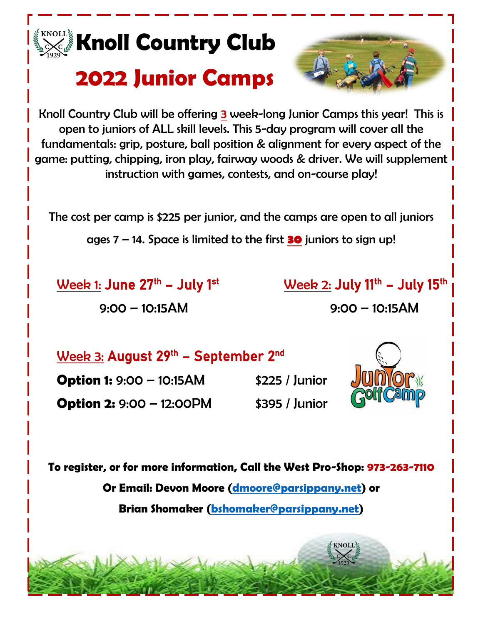

Knoll Country Club will be offering 3 week-long Junior Camps this year! This is open to juniors of ALL skill levels. This 5-day program will cover all the fundamentals: grip, posture, ball position & alignment for every aspect of the game: putting, chipping, iron play, fairway woods & driver. We will supplement instruction with games, contests, and on-course play!

The cost per camp is \$225 per junior, and the camps are open to all juniors

ages 7 – 14. Space is limited to the first **30** juniors to sign up!

Week 1: June  $27<sup>th</sup>$  – July 1st

9:00 – 10:15AM 9:00 – 10:15AM

– July 1<sup>st</sup> **Week 2:** July 11<sup>th</sup> – July 15<sup>th</sup>

<u>Week 3:</u> August 29<sup>th</sup> – September 2<sup>nd</sup>

**Option 1:** 9:00 – 10:15AM \$225 / Junior **Option 2:** 9:00 – 12:00PM \$395 / Junior



**To register, or for more information, Call the West Pro-Shop: 973-263-7110**

**Or Email: Devon Moore [\(dmoore@parsippany.net\)](mailto:dmoore@parsippany.net) or**

**Brian Shomaker [\(bshomaker@parsippany.net\)](mailto:bshomaker@parsippany.net)**